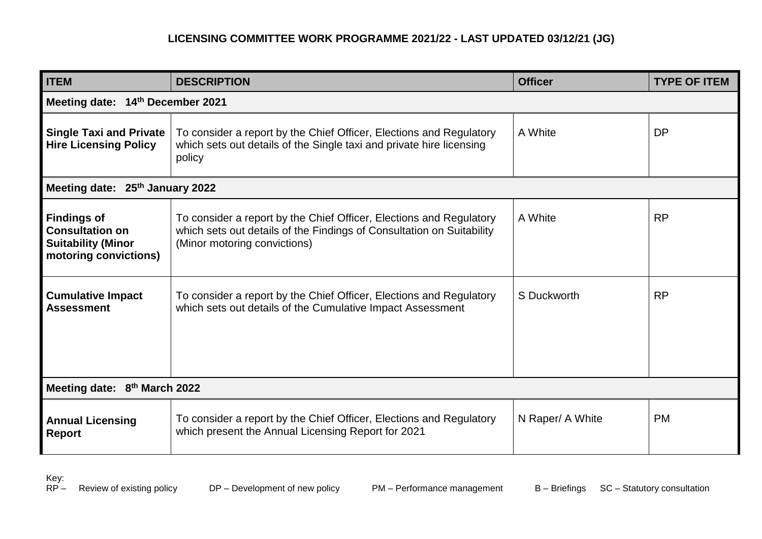## **LICENSING COMMITTEE WORK PROGRAMME 2021/22 - LAST UPDATED 03/12/21 (JG)**

| <b>ITEM</b>                                                                                        | <b>DESCRIPTION</b>                                                                                                                                                           | <b>Officer</b>   | <b>TYPE OF ITEM</b> |  |
|----------------------------------------------------------------------------------------------------|------------------------------------------------------------------------------------------------------------------------------------------------------------------------------|------------------|---------------------|--|
| Meeting date: 14th December 2021                                                                   |                                                                                                                                                                              |                  |                     |  |
| <b>Single Taxi and Private</b><br><b>Hire Licensing Policy</b>                                     | To consider a report by the Chief Officer, Elections and Regulatory<br>which sets out details of the Single taxi and private hire licensing<br>policy                        | A White          | <b>DP</b>           |  |
| Meeting date: 25th January 2022                                                                    |                                                                                                                                                                              |                  |                     |  |
| <b>Findings of</b><br><b>Consultation on</b><br><b>Suitability (Minor</b><br>motoring convictions) | To consider a report by the Chief Officer, Elections and Regulatory<br>which sets out details of the Findings of Consultation on Suitability<br>(Minor motoring convictions) | A White          | <b>RP</b>           |  |
| <b>Cumulative Impact</b><br><b>Assessment</b>                                                      | To consider a report by the Chief Officer, Elections and Regulatory<br>which sets out details of the Cumulative Impact Assessment                                            | S Duckworth      | <b>RP</b>           |  |
| Meeting date: 8 <sup>th</sup> March 2022                                                           |                                                                                                                                                                              |                  |                     |  |
| <b>Annual Licensing</b><br><b>Report</b>                                                           | To consider a report by the Chief Officer, Elections and Regulatory<br>which present the Annual Licensing Report for 2021                                                    | N Raper/ A White | <b>PM</b>           |  |